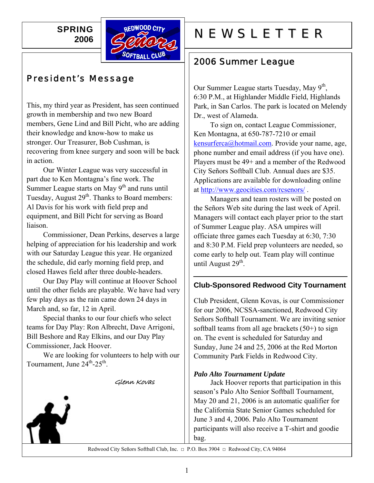**SPRING 2006** 



# President's Message

This, my third year as President, has seen continued growth in membership and two new Board members, Gene Lind and Bill Picht, who are adding their knowledge and know-how to make us stronger. Our Treasurer, Bob Cushman, is recovering from knee surgery and soon will be back in action.

 Our Winter League was very successful in part due to Ken Montagna's fine work. The Summer League starts on May  $9<sup>th</sup>$  and runs until Tuesday, August  $29<sup>th</sup>$ . Thanks to Board members: Al Davis for his work with field prep and equipment, and Bill Picht for serving as Board liaison.

 Commissioner, Dean Perkins, deserves a large helping of appreciation for his leadership and work with our Saturday League this year. He organized the schedule, did early morning field prep, and closed Hawes field after three double-headers.

 Our Day Play will continue at Hoover School until the other fields are playable. We have had very few play days as the rain came down 24 days in March and, so far, 12 in April.

 Special thanks to our four chiefs who select teams for Day Play: Ron Albrecht, Dave Arrigoni, Bill Beshore and Ray Elkins, and our Day Play Commissioner, Jack Hoover.

 We are looking for volunteers to help with our Tournament, June  $24^{th} - 25^{th}$ .

Glenn Kovas



# REDWOOD CITY NEWSLETTER

# 2006 Summer League

Our Summer League starts Tuesday, May  $9<sup>th</sup>$ , 6:30 P.M., at Highlander Middle Field, Highlands Park, in San Carlos. The park is located on Melendy Dr., west of Alameda.

To sign on, contact League Commissioner, Ken Montagna, at 650-787-7210 or email [kensurferca@hotmail.com.](mailto:kensurferca@hotmail.com) Provide your name, age, phone number and email address (if you have one). Players must be 49+ and a member of the Redwood City Señors Softball Club. Annual dues are \$35. Applications are available for downloading online at <http://www.geocities.com/rcsenors/>.

Managers and team rosters will be posted on the Señors Web site during the last week of April. Managers will contact each player prior to the start of Summer League play. ASA umpires will officiate three games each Tuesday at 6:30, 7:30 and 8:30 P.M. Field prep volunteers are needed, so come early to help out. Team play will continue until August  $29<sup>th</sup>$ .

#### **Club-Sponsored Redwood City Tournament**

Club President, Glenn Kovas, is our Commissioner for our 2006, NCSSA-sanctioned, Redwood City Señors Softball Tournament. We are inviting senior softball teams from all age brackets  $(50+)$  to sign on. The event is scheduled for Saturday and Sunday, June 24 and 25, 2006 at the Red Morton Community Park Fields in Redwood City.

#### *Palo Alto Tournament Update*

Jack Hoover reports that participation in this season's Palo Alto Senior Softball Tournament, May 20 and 21, 2006 is an automatic qualifier for the California State Senior Games scheduled for June 3 and 4, 2006. Palo Alto Tournament participants will also receive a T-shirt and goodie bag.

Redwood City Señors Softball Club, Inc. □ P.O. Box 3904 □ Redwood City, CA 94064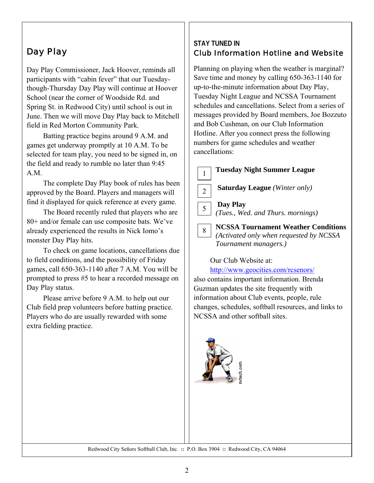# Day Play

Day Play Commissioner, Jack Hoover, reminds all participants with "cabin fever" that our Tuesdaythough-Thursday Day Play will continue at Hoover School (near the corner of Woodside Rd. and Spring St. in Redwood City) until school is out in June. Then we will move Day Play back to Mitchell field in Red Morton Community Park.

Batting practice begins around 9 A.M. and games get underway promptly at 10 A.M. To be selected for team play, you need to be signed in, on the field and ready to rumble no later than 9:45 A.M.

The complete Day Play book of rules has been approved by the Board. Players and managers will find it displayed for quick reference at every game.

The Board recently ruled that players who are 80+ and/or female can use composite bats. We've already experienced the results in Nick Iomo's monster Day Play hits.

To check on game locations, cancellations due to field conditions, and the possibility of Friday games, call 650-363-1140 after 7 A.M. You will be prompted to press #5 to hear a recorded message on Day Play status.

Please arrive before 9 A.M. to help out our Club field prep volunteers before batting practice. Players who do are usually rewarded with some extra fielding practice.

#### **STAY TUNED IN**  Club Information Hotline and Website

Planning on playing when the weather is marginal? Save time and money by calling 650-363-1140 for up-to-the-minute information about Day Play, Tuesday Night League and NCSSA Tournament schedules and cancellations. Select from a series of messages provided by Board members, Joe Bozzuto and Bob Cushman, on our Club Information Hotline. After you connect press the following numbers for game schedules and weather cancellations:



Our Club Website at:

<http://www.geocities.com/rcsenors/>

also contains important information. Brenda Guzman updates the site frequently with information about Club events, people, rule changes, schedules, softball resources, and links to NCSSA and other softball sites.



Redwood City Señors Softball Club, Inc. □ P.O. Box 3904 □ Redwood City, CA 94064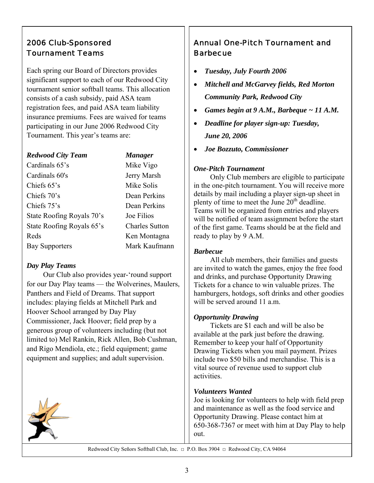## 2006 Club-Sponsored Tournament Teams

Each spring our Board of Directors provides significant support to each of our Redwood City tournament senior softball teams. This allocation consists of a cash subsidy, paid ASA team registration fees, and paid ASA team liability insurance premiums. Fees are waived for teams participating in our June 2006 Redwood City Tournament. This year's teams are:

#### *Redwood City Team Manager*

Cardinals 65's Mike Vigo Cardinals 60's Jerry Marsh Chiefs 65's Mike Solis Chiefs 70's Dean Perkins Chiefs 75's Dean Perkins State Roofing Royals 70's Joe Filios State Roofing Royals 65's Charles Sutton Reds Ken Montagna Bay Supporters Mark Kaufmann

#### *Day Play Teams*

 Our Club also provides year-'round support for our Day Play teams — the Wolverines, Maulers, Panthers and Field of Dreams. That support includes: playing fields at Mitchell Park and Hoover School arranged by Day Play Commissioner, Jack Hoover; field prep by a generous group of volunteers including (but not limited to) Mel Rankin, Rick Allen, Bob Cushman, and Rigo Mendiola, etc.; field equipment; game equipment and supplies; and adult supervision.



## Annual One-Pitch Tournament and **Barbecue**

- *Tuesday, July Fourth 2006*
- *Mitchell and McGarvey fields, Red Morton Community Park, Redwood City*
- *Games begin at 9 A.M., Barbeque ~ 11 A.M.*
- *Deadline for player sign-up: Tuesday, June 20, 2006*
- *Joe Bozzuto, Commissioner*

#### *One-Pitch Tournament*

Only Club members are eligible to participate in the one-pitch tournament. You will receive more details by mail including a player sign-up sheet in plenty of time to meet the June  $20<sup>th</sup>$  deadline. Teams will be organized from entries and players will be notified of team assignment before the start of the first game. Teams should be at the field and ready to play by 9 A.M.

#### *Barbecue*

All club members, their families and guests are invited to watch the games, enjoy the free food and drinks, and purchase Opportunity Drawing Tickets for a chance to win valuable prizes. The hamburgers, hotdogs, soft drinks and other goodies will be served around 11 a.m.

#### *Opportunity Drawing*

Tickets are \$1 each and will be also be available at the park just before the drawing. Remember to keep your half of Opportunity Drawing Tickets when you mail payment. Prizes include two \$50 bills and merchandise. This is a vital source of revenue used to support club activities.

#### *Volunteers Wanted*

Joe is looking for volunteers to help with field prep and maintenance as well as the food service and Opportunity Drawing. Please contact him at 650-368-7367 or meet with him at Day Play to help out.

Redwood City Señors Softball Club, Inc. □ P.O. Box 3904 □ Redwood City, CA 94064